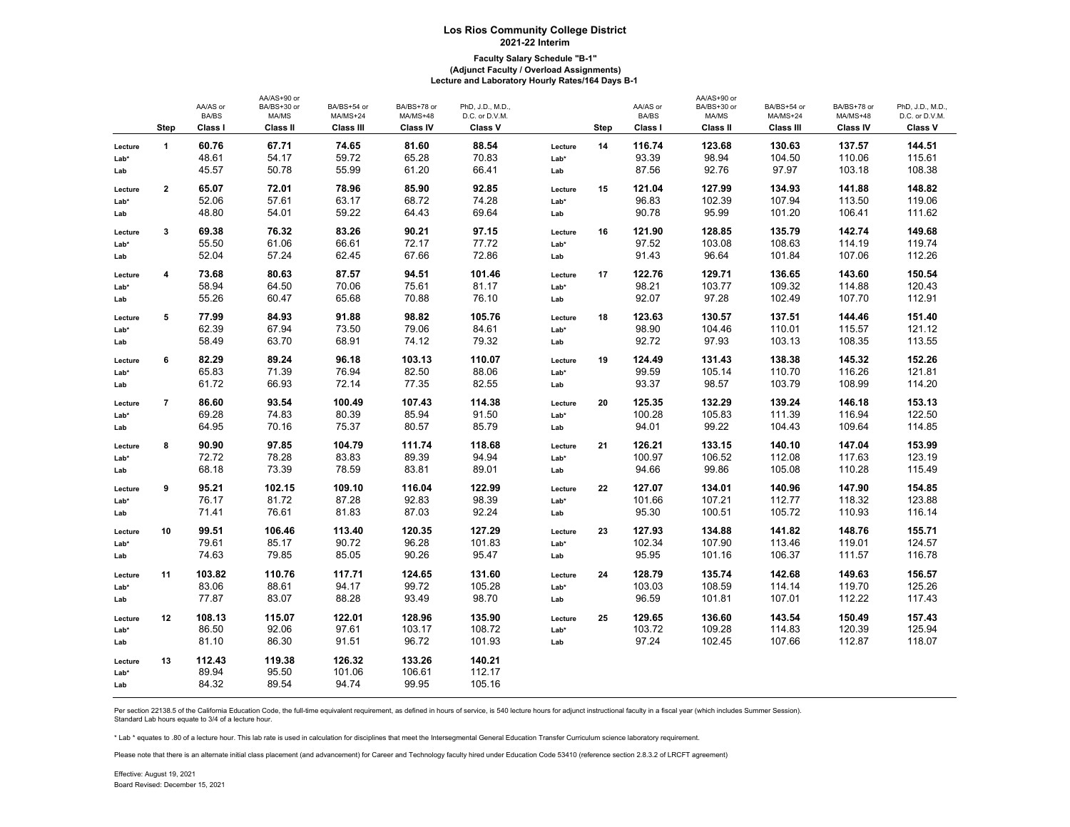## **Los Rios Community College District 2021-22 Interim**

## **Faculty Salary Schedule "B-1" (Adjunct Faculty / Overload Assignments) Lecture and Laboratory Hourly Rates/164 Days B-1**

|         |                         |          | AA/AS+90 or |                  |                 |                  |         |             |          | AA/AS+90 or |                  |                 |                  |
|---------|-------------------------|----------|-------------|------------------|-----------------|------------------|---------|-------------|----------|-------------|------------------|-----------------|------------------|
|         |                         | AA/AS or | BA/BS+30 or | BA/BS+54 or      | BA/BS+78 or     | PhD, J.D., M.D., |         |             | AA/AS or | BA/BS+30 or | BA/BS+54 or      | BA/BS+78 or     | PhD, J.D., M.D., |
|         |                         | BA/BS    | MA/MS       | $MA/MS+24$       | MA/MS+48        | D.C. or D.V.M.   |         |             | BA/BS    | MA/MS       | $MA/MS+24$       | MA/MS+48        | D.C. or D.V.M.   |
|         | Step                    | Class I  | Class II    | <b>Class III</b> | <b>Class IV</b> | Class V          |         | <b>Step</b> | Class I  | Class II    | <b>Class III</b> | <b>Class IV</b> | Class V          |
| Lecture | $\mathbf{1}$            | 60.76    | 67.71       | 74.65            | 81.60           | 88.54            | Lecture | 14          | 116.74   | 123.68      | 130.63           | 137.57          | 144.51           |
| $Lab*$  |                         | 48.61    | 54.17       | 59.72            | 65.28           | 70.83            | $Lab*$  |             | 93.39    | 98.94       | 104.50           | 110.06          | 115.61           |
| Lab     |                         | 45.57    | 50.78       | 55.99            | 61.20           | 66.41            | Lab     |             | 87.56    | 92.76       | 97.97            | 103.18          | 108.38           |
| Lecture | 2                       | 65.07    | 72.01       | 78.96            | 85.90           | 92.85            | Lecture | 15          | 121.04   | 127.99      | 134.93           | 141.88          | 148.82           |
| Lab*    |                         | 52.06    | 57.61       | 63.17            | 68.72           | 74.28            | Lab*    |             | 96.83    | 102.39      | 107.94           | 113.50          | 119.06           |
| Lab     |                         | 48.80    | 54.01       | 59.22            | 64.43           | 69.64            | Lab     |             | 90.78    | 95.99       | 101.20           | 106.41          | 111.62           |
| Lecture | 3                       | 69.38    | 76.32       | 83.26            | 90.21           | 97.15            | Lecture | 16          | 121.90   | 128.85      | 135.79           | 142.74          | 149.68           |
| $Lab*$  |                         | 55.50    | 61.06       | 66.61            | 72.17           | 77.72            | Lab*    |             | 97.52    | 103.08      | 108.63           | 114.19          | 119.74           |
| Lab     |                         | 52.04    | 57.24       | 62.45            | 67.66           | 72.86            | Lab     |             | 91.43    | 96.64       | 101.84           | 107.06          | 112.26           |
| Lecture | $\overline{\mathbf{4}}$ | 73.68    | 80.63       | 87.57            | 94.51           | 101.46           | Lecture | 17          | 122.76   | 129.71      | 136.65           | 143.60          | 150.54           |
| Lab*    |                         | 58.94    | 64.50       | 70.06            | 75.61           | 81.17            | Lab*    |             | 98.21    | 103.77      | 109.32           | 114.88          | 120.43           |
| Lab     |                         | 55.26    | 60.47       | 65.68            | 70.88           | 76.10            | Lab     |             | 92.07    | 97.28       | 102.49           | 107.70          | 112.91           |
| Lecture | 5                       | 77.99    | 84.93       | 91.88            | 98.82           | 105.76           | Lecture | 18          | 123.63   | 130.57      | 137.51           | 144.46          | 151.40           |
| Lab*    |                         | 62.39    | 67.94       | 73.50            | 79.06           | 84.61            | Lab*    |             | 98.90    | 104.46      | 110.01           | 115.57          | 121.12           |
| Lab     |                         | 58.49    | 63.70       | 68.91            | 74.12           | 79.32            | Lab     |             | 92.72    | 97.93       | 103.13           | 108.35          | 113.55           |
| Lecture | 6                       | 82.29    | 89.24       | 96.18            | 103.13          | 110.07           | Lecture | 19          | 124.49   | 131.43      | 138.38           | 145.32          | 152.26           |
| Lab*    |                         | 65.83    | 71.39       | 76.94            | 82.50           | 88.06            | Lab*    |             | 99.59    | 105.14      | 110.70           | 116.26          | 121.81           |
| Lab     |                         | 61.72    | 66.93       | 72.14            | 77.35           | 82.55            | Lab     |             | 93.37    | 98.57       | 103.79           | 108.99          | 114.20           |
| Lecture | $\overline{7}$          | 86.60    | 93.54       | 100.49           | 107.43          | 114.38           | Lecture | 20          | 125.35   | 132.29      | 139.24           | 146.18          | 153.13           |
| $Lab*$  |                         | 69.28    | 74.83       | 80.39            | 85.94           | 91.50            | Lab*    |             | 100.28   | 105.83      | 111.39           | 116.94          | 122.50           |
| Lab     |                         | 64.95    | 70.16       | 75.37            | 80.57           | 85.79            | Lab     |             | 94.01    | 99.22       | 104.43           | 109.64          | 114.85           |
| Lecture | 8                       | 90.90    | 97.85       | 104.79           | 111.74          | 118.68           | Lecture | 21          | 126.21   | 133.15      | 140.10           | 147.04          | 153.99           |
| Lab*    |                         | 72.72    | 78.28       | 83.83            | 89.39           | 94.94            | Lab*    |             | 100.97   | 106.52      | 112.08           | 117.63          | 123.19           |
| Lab     |                         | 68.18    | 73.39       | 78.59            | 83.81           | 89.01            | Lab     |             | 94.66    | 99.86       | 105.08           | 110.28          | 115.49           |
| Lecture | 9                       | 95.21    | 102.15      | 109.10           | 116.04          | 122.99           | Lecture | 22          | 127.07   | 134.01      | 140.96           | 147.90          | 154.85           |
| Lab*    |                         | 76.17    | 81.72       | 87.28            | 92.83           | 98.39            | Lab*    |             | 101.66   | 107.21      | 112.77           | 118.32          | 123.88           |
| Lab     |                         | 71.41    | 76.61       | 81.83            | 87.03           | 92.24            | Lab     |             | 95.30    | 100.51      | 105.72           | 110.93          | 116.14           |
| Lecture | 10                      | 99.51    | 106.46      | 113.40           | 120.35          | 127.29           | Lecture | 23          | 127.93   | 134.88      | 141.82           | 148.76          | 155.71           |
| Lab*    |                         | 79.61    | 85.17       | 90.72            | 96.28           | 101.83           | Lab*    |             | 102.34   | 107.90      | 113.46           | 119.01          | 124.57           |
| Lab     |                         | 74.63    | 79.85       | 85.05            | 90.26           | 95.47            | Lab     |             | 95.95    | 101.16      | 106.37           | 111.57          | 116.78           |
| Lecture | 11                      | 103.82   | 110.76      | 117.71           | 124.65          | 131.60           | Lecture | 24          | 128.79   | 135.74      | 142.68           | 149.63          | 156.57           |
| Lab*    |                         | 83.06    | 88.61       | 94.17            | 99.72           | 105.28           | Lab*    |             | 103.03   | 108.59      | 114.14           | 119.70          | 125.26           |
| Lab     |                         | 77.87    | 83.07       | 88.28            | 93.49           | 98.70            | Lab     |             | 96.59    | 101.81      | 107.01           | 112.22          | 117.43           |
| Lecture | 12                      | 108.13   | 115.07      | 122.01           | 128.96          | 135.90           | Lecture | 25          | 129.65   | 136.60      | 143.54           | 150.49          | 157.43           |
| Lab*    |                         | 86.50    | 92.06       | 97.61            | 103.17          | 108.72           | Lab*    |             | 103.72   | 109.28      | 114.83           | 120.39          | 125.94           |
| Lab     |                         | 81.10    | 86.30       | 91.51            | 96.72           | 101.93           | Lab     |             | 97.24    | 102.45      | 107.66           | 112.87          | 118.07           |
| Lecture | 13                      | 112.43   | 119.38      | 126.32           | 133.26          | 140.21           |         |             |          |             |                  |                 |                  |
| Lab*    |                         | 89.94    | 95.50       | 101.06           | 106.61          | 112.17           |         |             |          |             |                  |                 |                  |
| Lab     |                         | 84.32    | 89.54       | 94.74            | 99.95           | 105.16           |         |             |          |             |                  |                 |                  |
|         |                         |          |             |                  |                 |                  |         |             |          |             |                  |                 |                  |

Per section 22138.5 of the California Education Code, the full-time equivalent requirement, as defined in hours of service, is 540 lecture hours for adjunct instructional faculty in a fiscal year (which includes Summer Ses Standard Lab hours equate to 3/4 of a lecture hour.

\* Lab \* equates to .80 of a lecture hour. This lab rate is used in calculation for disciplines that meet the Intersegmental General Education Transfer Curriculum science laboratory requirement.

Please note that there is an alternate initial class placement (and advancement) for Career and Technology faculty hired under Education Code 53410 (reference section 2.8.3.2 of LRCFT agreement)